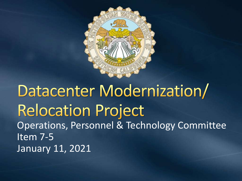

### Datacenter Modernization/ **Relocation Project** Operations, Personnel & Technology Committee Item 7-5 January 11, 2021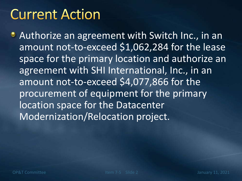# **Current Action**

**• Authorize an agreement with Switch Inc., in an** amount not-to-exceed \$1,062,284 for the lease space for the primary location and authorize an agreement with SHI International, Inc., in an amount not-to-exceed \$4,077,866 for the procurement of equipment for the primary location space for the Datacenter Modernization/Relocation project.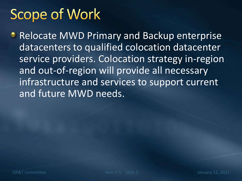# **Scope of Work**

**• Relocate MWD Primary and Backup enterprise** datacenters to qualified colocation datacenter service providers. Colocation strategy in-region and out-of-region will provide all necessary infrastructure and services to support current and future MWD needs.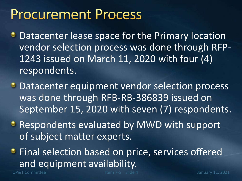## **Procurement Process**

- **Datacenter lease space for the Primary location** vendor selection process was done through RFP-1243 issued on March 11, 2020 with four (4) respondents.
- **Datacenter equipment vendor selection process** was done through RFB-RB-386839 issued on September 15, 2020 with seven (7) respondents.
- **Respondents evaluated by MWD with support** of subject matter experts.
- **•** Final selection based on price, services offered and equipment availability.

OP&T Committee Item 7-5 Slide 4 January 11, 2021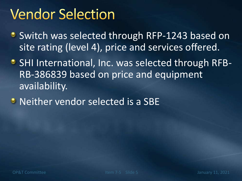# **Vendor Selection**

- **Switch was selected through RFP-1243 based on** site rating (level 4), price and services offered.
- SHI International, Inc. was selected through RFB-RB-386839 based on price and equipment availability.
- **Neither vendor selected is a SBE**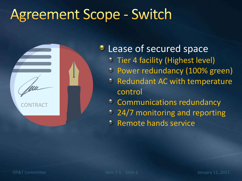# **Agreement Scope - Switch**



### **C** Lease of secured space

- **Tier 4 facility (Highest level)**
- Power redundancy (100% green)
- Redundant AC with temperature control
- Communications redundancy  $\bullet$
- 24/7 monitoring and reporting
- Remote hands service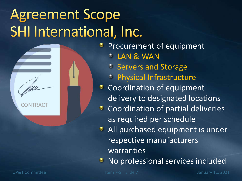# **Agreement Scope** SHI International, Inc.



Procurement of equipment

LAN & WAN

- **Servers and Storage**
- Physical Infrastructure
- **Coordination of equipment** delivery to designated locations
- **Coordination of partial deliveries** as required per schedule
- **All purchased equipment is under** respective manufacturers warranties
- No professional services included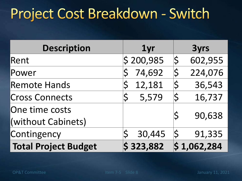# Project Cost Breakdown - Switch

| <b>Description</b>          | 1yr                   | <b>3yrs</b>                       |
|-----------------------------|-----------------------|-----------------------------------|
| Rent                        | $\frac{1}{2}$ 200,985 | $ \boldsymbol{\zeta} $<br>602,955 |
| Power                       | 74,692                | 224,076<br>$\bar{\bm{\zeta}}$     |
| <b>Remote Hands</b>         | 12,181                | 36,543                            |
| <b>Cross Connects</b>       | 5,579                 | <b>Ś</b><br>16,737                |
| One time costs              |                       | 90,638                            |
| (without Cabinets)          |                       |                                   |
| Contingency                 | 30,445                | 91,335                            |
| <b>Total Project Budget</b> | \$323,882             | $\vert$ \$1,062,284               |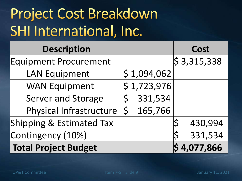# **Project Cost Breakdown** SHI International, Inc.

| <b>Description</b>           |                        |                        |         | Cost                    |
|------------------------------|------------------------|------------------------|---------|-------------------------|
| <b>Equipment Procurement</b> |                        |                        |         | $\frac{1}{5}$ 3,315,338 |
| <b>LAN Equipment</b>         |                        | $\frac{1}{2}$ ,094,062 |         |                         |
| <b>WAN Equipment</b>         |                        | $\frac{1}{2}$ ,723,976 |         |                         |
| <b>Server and Storage</b>    |                        |                        | 331,534 |                         |
| Physical Infrastructure      | $ \boldsymbol{\zeta} $ |                        | 165,766 |                         |
| Shipping & Estimated Tax     |                        |                        |         | 430,994                 |
| Contingency (10%)            |                        |                        |         | 331,534                 |
| <b>Total Project Budget</b>  |                        |                        |         | $\frac{1}{9}$ 4,077,866 |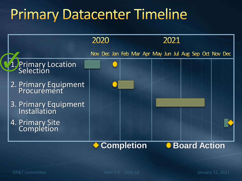# **Primary Datacenter Timeline**

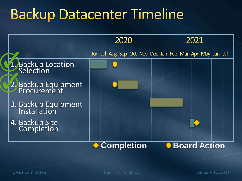# **Backup Datacenter Timeline**

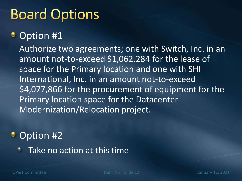# **Board Options**

#### Option #1 ٠

Authorize two agreements; one with Switch, Inc. in an amount not-to-exceed \$1,062,284 for the lease of space for the Primary location and one with SHI International, Inc. in an amount not-to-exceed \$4,077,866 for the procurement of equipment for the Primary location space for the Datacenter Modernization/Relocation project.

#### • Option #2

Take no action at this time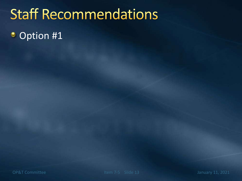# **Staff Recommendations**

#### Option #1۰